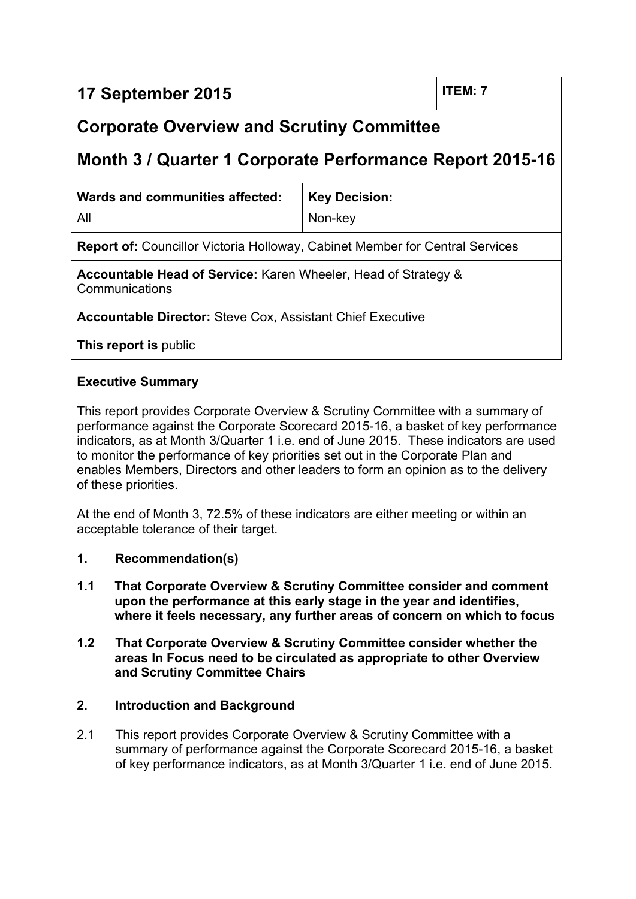# **17 September 2015 ITEM: 7**

# **Corporate Overview and Scrutiny Committee**

# **Month 3 / Quarter 1 Corporate Performance Report 2015-16**

| Wards and communities affected:                                                     | Key Decision: |  |  |  |
|-------------------------------------------------------------------------------------|---------------|--|--|--|
| All                                                                                 | Non-key       |  |  |  |
| <b>Report of: Councillor Victoria Holloway, Cabinet Member for Central Services</b> |               |  |  |  |

**Accountable Head of Service:** Karen Wheeler, Head of Strategy & Communications

**Accountable Director:** Steve Cox, Assistant Chief Executive

**This report is** public

## **Executive Summary**

This report provides Corporate Overview & Scrutiny Committee with a summary of performance against the Corporate Scorecard 2015-16, a basket of key performance indicators, as at Month 3/Quarter 1 i.e. end of June 2015. These indicators are used to monitor the performance of key priorities set out in the Corporate Plan and enables Members, Directors and other leaders to form an opinion as to the delivery of these priorities.

At the end of Month 3, 72.5% of these indicators are either meeting or within an acceptable tolerance of their target.

- **1. Recommendation(s)**
- **1.1 That Corporate Overview & Scrutiny Committee consider and comment upon the performance at this early stage in the year and identifies, where it feels necessary, any further areas of concern on which to focus**
- **1.2 That Corporate Overview & Scrutiny Committee consider whether the areas In Focus need to be circulated as appropriate to other Overview and Scrutiny Committee Chairs**

#### **2. Introduction and Background**

2.1 This report provides Corporate Overview & Scrutiny Committee with a summary of performance against the Corporate Scorecard 2015-16, a basket of key performance indicators, as at Month 3/Quarter 1 i.e. end of June 2015.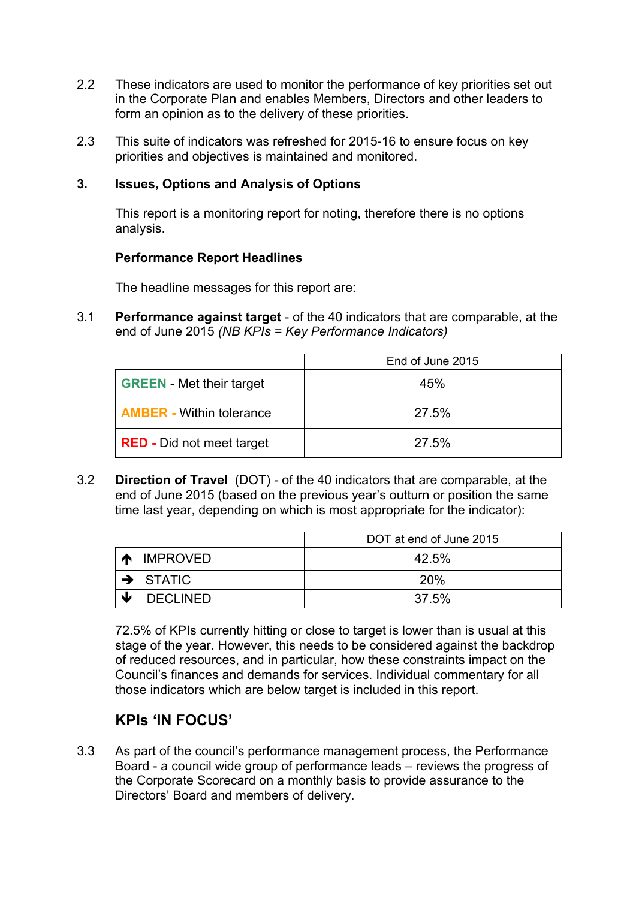- 2.2 These indicators are used to monitor the performance of key priorities set out in the Corporate Plan and enables Members, Directors and other leaders to form an opinion as to the delivery of these priorities.
- 2.3 This suite of indicators was refreshed for 2015-16 to ensure focus on key priorities and objectives is maintained and monitored.

#### **3. Issues, Options and Analysis of Options**

This report is a monitoring report for noting, therefore there is no options analysis.

#### **Performance Report Headlines**

The headline messages for this report are:

3.1 **Performance against target** - of the 40 indicators that are comparable, at the end of June 2015 *(NB KPIs = Key Performance Indicators)*

|                                  | End of June 2015 |
|----------------------------------|------------------|
| <b>GREEN</b> - Met their target  | 45%              |
| <b>AMBER</b> - Within tolerance  | 27.5%            |
| <b>RED</b> - Did not meet target | 27.5%            |

3.2 **Direction of Travel** (DOT) - of the 40 indicators that are comparable, at the end of June 2015 (based on the previous year's outturn or position the same time last year, depending on which is most appropriate for the indicator):

|   |                      | DOT at end of June 2015 |  |  |
|---|----------------------|-------------------------|--|--|
|   | <b>IMPROVED</b>      | 42.5%                   |  |  |
|   | $\rightarrow$ STATIC | <b>20%</b>              |  |  |
| w | <b>DECLINED</b>      | 37.5%                   |  |  |

72.5% of KPIs currently hitting or close to target is lower than is usual at this stage of the year. However, this needs to be considered against the backdrop of reduced resources, and in particular, how these constraints impact on the Council's finances and demands for services. Individual commentary for all those indicators which are below target is included in this report.

# **KPIs 'IN FOCUS'**

3.3 As part of the council's performance management process, the Performance Board - a council wide group of performance leads – reviews the progress of the Corporate Scorecard on a monthly basis to provide assurance to the Directors' Board and members of delivery.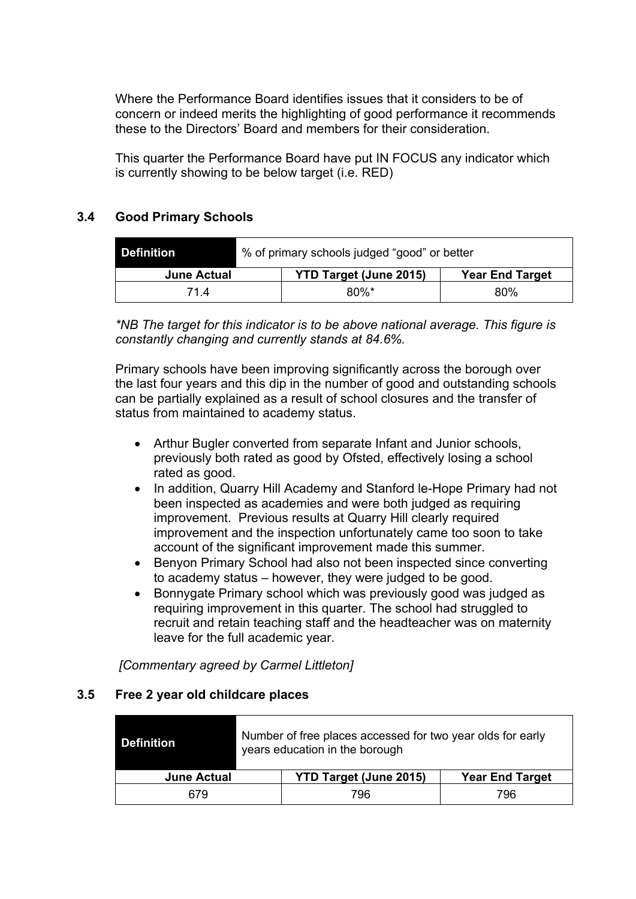Where the Performance Board identifies issues that it considers to be of concern or indeed merits the highlighting of good performance it recommends these to the Directors' Board and members for their consideration.

This quarter the Performance Board have put IN FOCUS any indicator which is currently showing to be below target (i.e. RED)

# **3.4 Good Primary Schools**

| l Definition       | % of primary schools judged "good" or better |                               |                        |
|--------------------|----------------------------------------------|-------------------------------|------------------------|
| <b>June Actual</b> |                                              | <b>YTD Target (June 2015)</b> | <b>Year End Target</b> |
| 714                |                                              | $80\%$ *                      | 80%                    |

*\*NB The target for this indicator is to be above national average. This figure is constantly changing and currently stands at 84.6%.*

Primary schools have been improving significantly across the borough over the last four years and this dip in the number of good and outstanding schools can be partially explained as a result of school closures and the transfer of status from maintained to academy status.

- Arthur Bugler converted from separate Infant and Junior schools, previously both rated as good by Ofsted, effectively losing a school rated as good.
- In addition, Quarry Hill Academy and Stanford le-Hope Primary had not been inspected as academies and were both judged as requiring improvement. Previous results at Quarry Hill clearly required improvement and the inspection unfortunately came too soon to take account of the significant improvement made this summer.
- Benyon Primary School had also not been inspected since converting to academy status – however, they were judged to be good.
- Bonnygate Primary school which was previously good was judged as requiring improvement in this quarter. The school had struggled to recruit and retain teaching staff and the headteacher was on maternity leave for the full academic year.

*[Commentary agreed by Carmel Littleton]*

#### **3.5 Free 2 year old childcare places**

| Definition         | Number of free places accessed for two year olds for early<br>years education in the borough |     |     |
|--------------------|----------------------------------------------------------------------------------------------|-----|-----|
| <b>June Actual</b> | <b>YTD Target (June 2015)</b><br><b>Year End Target</b>                                      |     |     |
| 679.               |                                                                                              | 796 | 796 |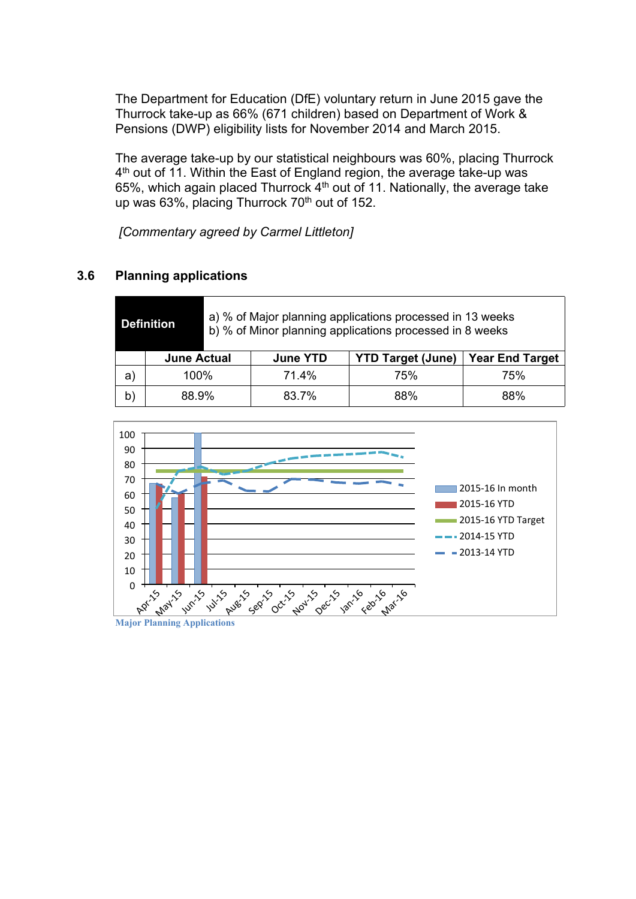The Department for Education (DfE) voluntary return in June 2015 gave the Thurrock take-up as 66% (671 children) based on Department of Work & Pensions (DWP) eligibility lists for November 2014 and March 2015.

The average take-up by our statistical neighbours was 60%, placing Thurrock 4<sup>th</sup> out of 11. Within the East of England region, the average take-up was 65%, which again placed Thurrock 4<sup>th</sup> out of 11. Nationally, the average take up was 63%, placing Thurrock  $70<sup>th</sup>$  out of 152.

*[Commentary agreed by Carmel Littleton]*

# **3.6 Planning applications**

|                    | <b>Definition</b> | a) % of Major planning applications processed in 13 weeks<br>b) % of Minor planning applications processed in 8 weeks |                          |                        |     |
|--------------------|-------------------|-----------------------------------------------------------------------------------------------------------------------|--------------------------|------------------------|-----|
| <b>June Actual</b> |                   | <b>June YTD</b>                                                                                                       | <b>YTD Target (June)</b> | <b>Year End Target</b> |     |
| a)                 | $100\%$           |                                                                                                                       | 71.4%                    | 75%                    | 75% |
| b)                 | 88.9%             |                                                                                                                       | 83.7%                    | 88%                    | 88% |



**Major Planning Applications**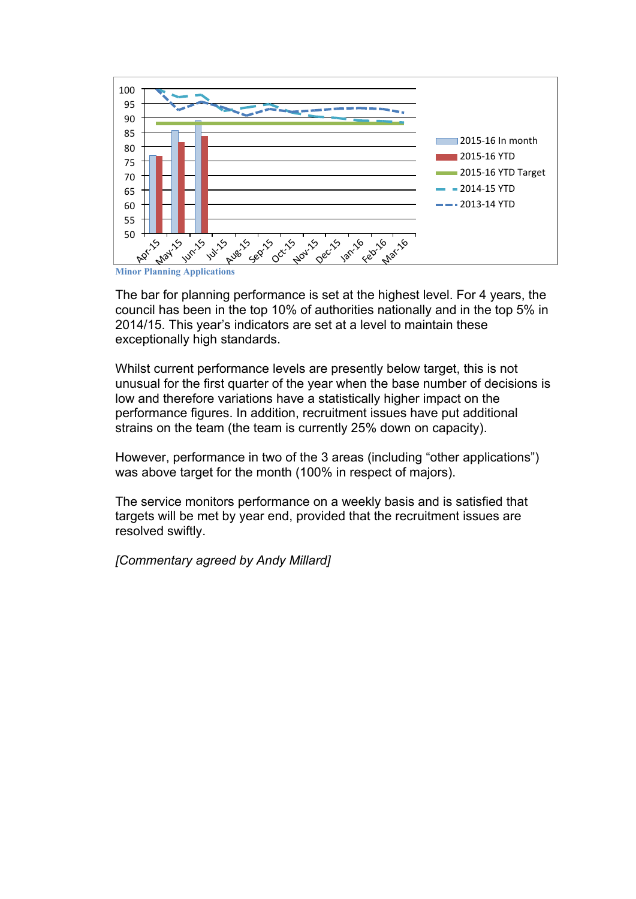

**Minor Planning Applications**

The bar for planning performance is set at the highest level. For 4 years, the council has been in the top 10% of authorities nationally and in the top 5% in 2014/15. This year's indicators are set at a level to maintain these exceptionally high standards.

Whilst current performance levels are presently below target, this is not unusual for the first quarter of the year when the base number of decisions is low and therefore variations have a statistically higher impact on the performance figures. In addition, recruitment issues have put additional strains on the team (the team is currently 25% down on capacity).

However, performance in two of the 3 areas (including "other applications") was above target for the month (100% in respect of majors).

The service monitors performance on a weekly basis and is satisfied that targets will be met by year end, provided that the recruitment issues are resolved swiftly.

*[Commentary agreed by Andy Millard]*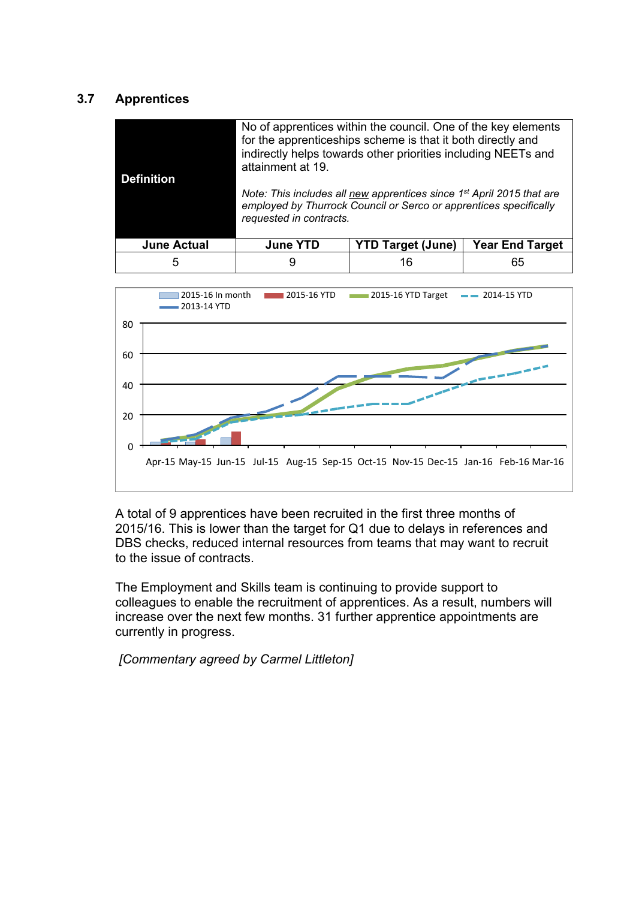# **3.7 Apprentices**

| <b>Definition</b>  | attainment at 19.<br>requested in contracts. | No of apprentices within the council. One of the key elements<br>for the apprenticeships scheme is that it both directly and<br>indirectly helps towards other priorities including NEETs and<br>Note: This includes all new apprentices since 1 <sup>st</sup> April 2015 that are<br>employed by Thurrock Council or Serco or apprentices specifically |                        |
|--------------------|----------------------------------------------|---------------------------------------------------------------------------------------------------------------------------------------------------------------------------------------------------------------------------------------------------------------------------------------------------------------------------------------------------------|------------------------|
| <b>June Actual</b> | <b>June YTD</b>                              | <b>YTD Target (June)</b>                                                                                                                                                                                                                                                                                                                                | <b>Year End Target</b> |
| 5                  |                                              | 16                                                                                                                                                                                                                                                                                                                                                      | 65                     |



A total of 9 apprentices have been recruited in the first three months of 2015/16. This is lower than the target for Q1 due to delays in references and DBS checks, reduced internal resources from teams that may want to recruit to the issue of contracts.

The Employment and Skills team is continuing to provide support to colleagues to enable the recruitment of apprentices. As a result, numbers will increase over the next few months. 31 further apprentice appointments are currently in progress.

*[Commentary agreed by Carmel Littleton]*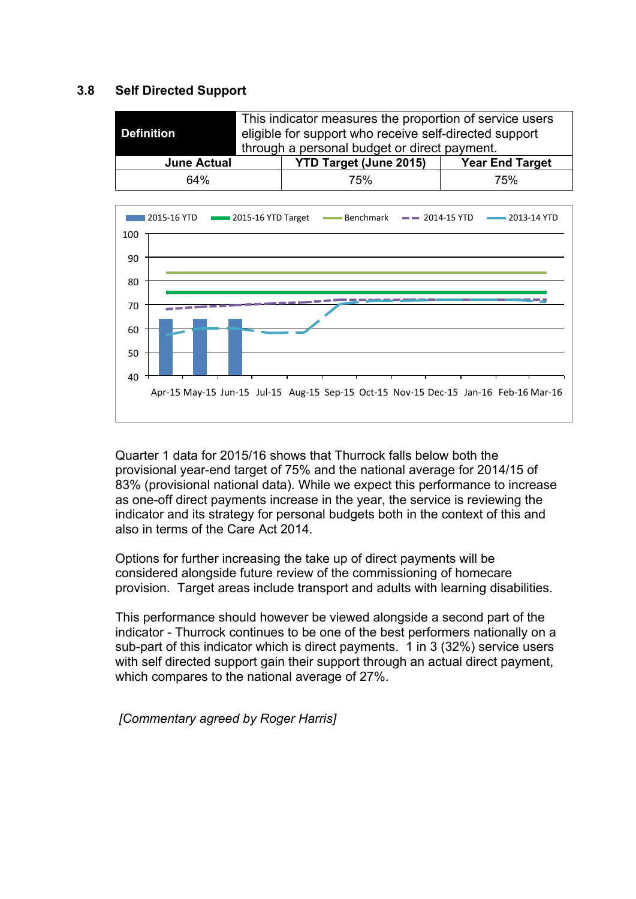#### **3.8 Self Directed Support**

| <b>Definition</b>  | This indicator measures the proportion of service users<br>eligible for support who receive self-directed support<br>through a personal budget or direct payment. |                               |                        |
|--------------------|-------------------------------------------------------------------------------------------------------------------------------------------------------------------|-------------------------------|------------------------|
| <b>June Actual</b> |                                                                                                                                                                   | <b>YTD Target (June 2015)</b> | <b>Year End Target</b> |
| 64%                |                                                                                                                                                                   | 75%                           | 75%                    |



Quarter 1 data for 2015/16 shows that Thurrock falls below both the provisional year-end target of 75% and the national average for 2014/15 of 83% (provisional national data). While we expect this performance to increase as one-off direct payments increase in the year, the service is reviewing the indicator and its strategy for personal budgets both in the context of this and also in terms of the Care Act 2014.

Options for further increasing the take up of direct payments will be considered alongside future review of the commissioning of homecare provision. Target areas include transport and adults with learning disabilities.

This performance should however be viewed alongside a second part of the indicator - Thurrock continues to be one of the best performers nationally on a sub-part of this indicator which is direct payments. 1 in 3 (32%) service users with self directed support gain their support through an actual direct payment, which compares to the national average of 27%.

*[Commentary agreed by Roger Harris]*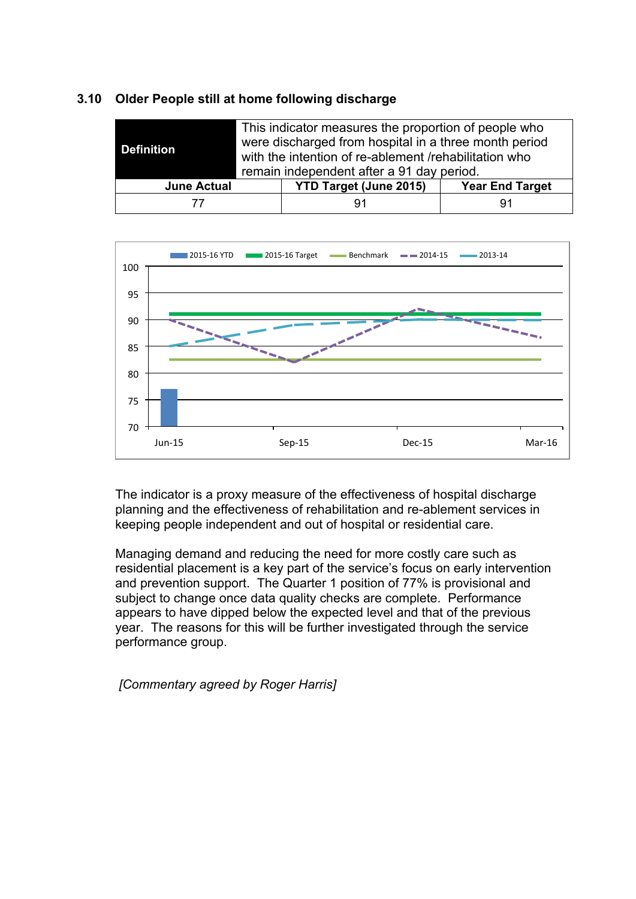#### **3.10 Older People still at home following discharge**

| <b>Definition</b>  | This indicator measures the proportion of people who<br>were discharged from hospital in a three month period<br>with the intention of re-ablement /rehabilitation who<br>remain independent after a 91 day period. |                               |                        |
|--------------------|---------------------------------------------------------------------------------------------------------------------------------------------------------------------------------------------------------------------|-------------------------------|------------------------|
| <b>June Actual</b> |                                                                                                                                                                                                                     | <b>YTD Target (June 2015)</b> | <b>Year End Target</b> |
|                    |                                                                                                                                                                                                                     | 91                            | 91                     |



The indicator is a proxy measure of the effectiveness of hospital discharge planning and the effectiveness of rehabilitation and re-ablement services in keeping people independent and out of hospital or residential care.

Managing demand and reducing the need for more costly care such as residential placement is a key part of the service's focus on early intervention and prevention support. The Quarter 1 position of 77% is provisional and subject to change once data quality checks are complete. Performance appears to have dipped below the expected level and that of the previous year. The reasons for this will be further investigated through the service performance group.

*[Commentary agreed by Roger Harris]*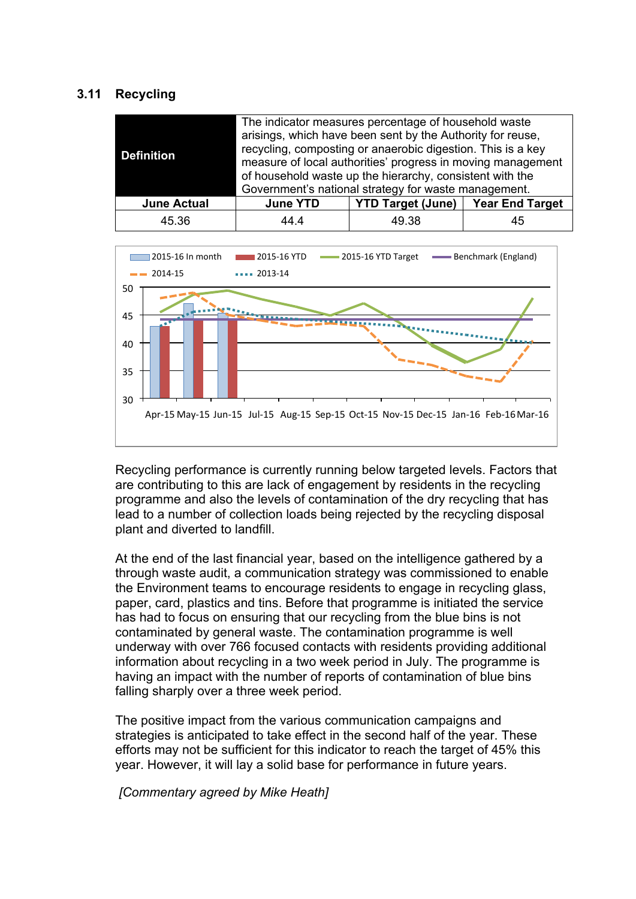#### **3.11 Recycling**

| <b>Definition</b>  | The indicator measures percentage of household waste<br>arisings, which have been sent by the Authority for reuse,<br>recycling, composting or anaerobic digestion. This is a key<br>measure of local authorities' progress in moving management<br>of household waste up the hierarchy, consistent with the<br>Government's national strategy for waste management. |                          |                        |
|--------------------|----------------------------------------------------------------------------------------------------------------------------------------------------------------------------------------------------------------------------------------------------------------------------------------------------------------------------------------------------------------------|--------------------------|------------------------|
| <b>June Actual</b> | <b>June YTD</b>                                                                                                                                                                                                                                                                                                                                                      | <b>YTD Target (June)</b> | <b>Year End Target</b> |
| 45.36              | 44 4                                                                                                                                                                                                                                                                                                                                                                 | 49.38                    | 45                     |



Recycling performance is currently running below targeted levels. Factors that are contributing to this are lack of engagement by residents in the recycling programme and also the levels of contamination of the dry recycling that has lead to a number of collection loads being rejected by the recycling disposal plant and diverted to landfill.

At the end of the last financial year, based on the intelligence gathered by a through waste audit, a communication strategy was commissioned to enable the Environment teams to encourage residents to engage in recycling glass, paper, card, plastics and tins. Before that programme is initiated the service has had to focus on ensuring that our recycling from the blue bins is not contaminated by general waste. The contamination programme is well underway with over 766 focused contacts with residents providing additional information about recycling in a two week period in July. The programme is having an impact with the number of reports of contamination of blue bins falling sharply over a three week period.

The positive impact from the various communication campaigns and strategies is anticipated to take effect in the second half of the year. These efforts may not be sufficient for this indicator to reach the target of 45% this year. However, it will lay a solid base for performance in future years.

*[Commentary agreed by Mike Heath]*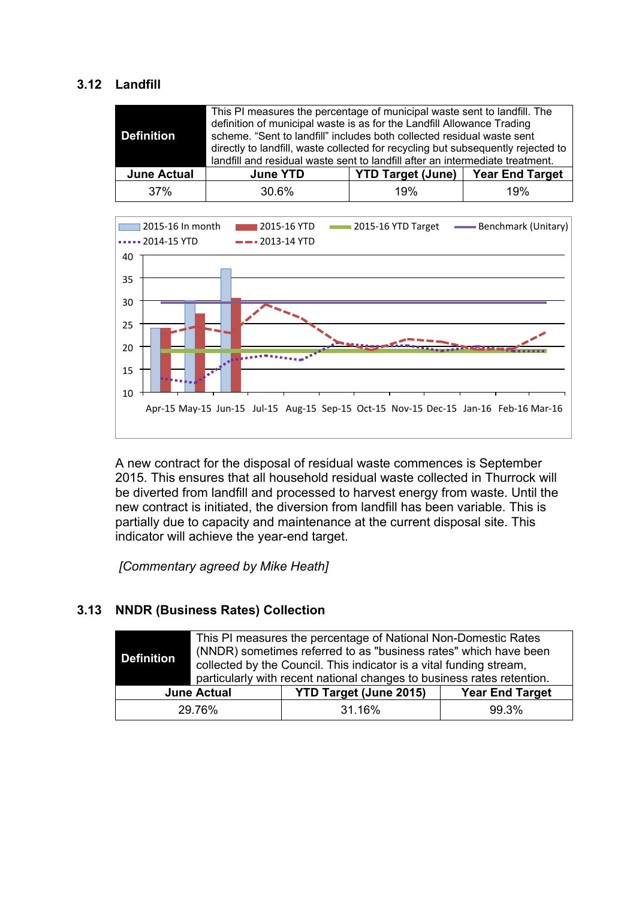# **3.12 Landfill**

| Definition         | This PI measures the percentage of municipal waste sent to landfill. The<br>definition of municipal waste is as for the Landfill Allowance Trading<br>scheme. "Sent to landfill" includes both collected residual waste sent<br>directly to landfill, waste collected for recycling but subsequently rejected to<br>landfill and residual waste sent to landfill after an intermediate treatment. |                          |                        |  |
|--------------------|---------------------------------------------------------------------------------------------------------------------------------------------------------------------------------------------------------------------------------------------------------------------------------------------------------------------------------------------------------------------------------------------------|--------------------------|------------------------|--|
| <b>June Actual</b> | <b>June YTD</b>                                                                                                                                                                                                                                                                                                                                                                                   | <b>YTD Target (June)</b> | <b>Year End Target</b> |  |
| 37%                | 30.6%                                                                                                                                                                                                                                                                                                                                                                                             | 19%                      | 19%                    |  |



A new contract for the disposal of residual waste commences is September 2015. This ensures that all household residual waste collected in Thurrock will be diverted from landfill and processed to harvest energy from waste. Until the new contract is initiated, the diversion from landfill has been variable. This is partially due to capacity and maintenance at the current disposal site. This indicator will achieve the year-end target.

*[Commentary agreed by Mike Heath]*

# **3.13 NNDR (Business Rates) Collection**

| <b>Definition</b>                                   | This PI measures the percentage of National Non-Domestic Rates<br>(NNDR) sometimes referred to as "business rates" which have been<br>collected by the Council. This indicator is a vital funding stream,<br>particularly with recent national changes to business rates retention. |                        |       |
|-----------------------------------------------------|-------------------------------------------------------------------------------------------------------------------------------------------------------------------------------------------------------------------------------------------------------------------------------------|------------------------|-------|
| <b>YTD Target (June 2015)</b><br><b>June Actual</b> |                                                                                                                                                                                                                                                                                     | <b>Year End Target</b> |       |
|                                                     | 29.76%                                                                                                                                                                                                                                                                              | 31.16%                 | 99.3% |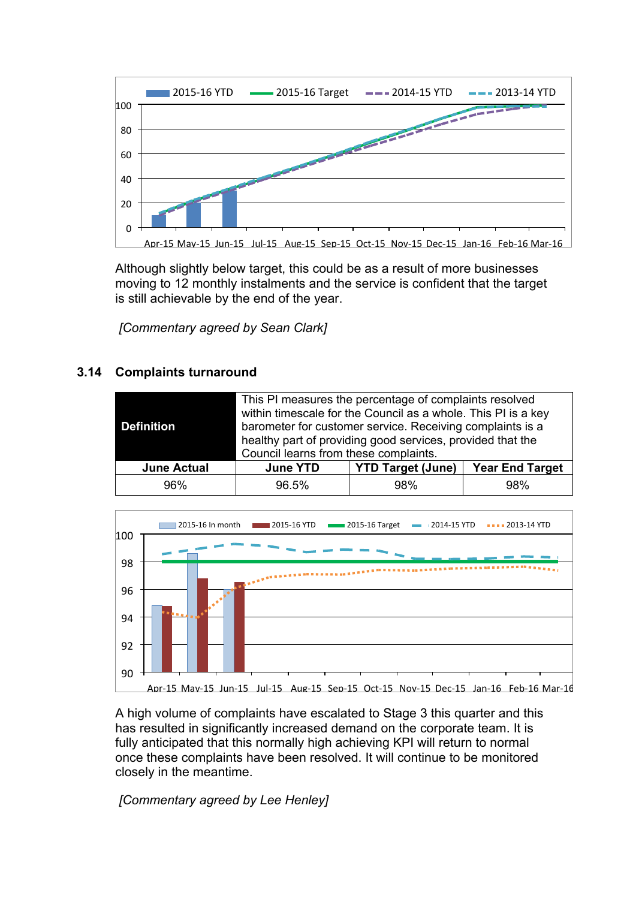

Although slightly below target, this could be as a result of more businesses moving to 12 monthly instalments and the service is confident that the target is still achievable by the end of the year.

*[Commentary agreed by Sean Clark]*

# **3.14 Complaints turnaround**

| Definition         | This PI measures the percentage of complaints resolved<br>within timescale for the Council as a whole. This PI is a key<br>barometer for customer service. Receiving complaints is a<br>healthy part of providing good services, provided that the<br>Council learns from these complaints. |                          |                        |  |  |  |  |
|--------------------|---------------------------------------------------------------------------------------------------------------------------------------------------------------------------------------------------------------------------------------------------------------------------------------------|--------------------------|------------------------|--|--|--|--|
| <b>June Actual</b> | <b>June YTD</b>                                                                                                                                                                                                                                                                             | <b>YTD Target (June)</b> | <b>Year End Target</b> |  |  |  |  |
| 96%                | 96.5%                                                                                                                                                                                                                                                                                       | 98%                      | 98%                    |  |  |  |  |



A high volume of complaints have escalated to Stage 3 this quarter and this has resulted in significantly increased demand on the corporate team. It is fully anticipated that this normally high achieving KPI will return to normal once these complaints have been resolved. It will continue to be monitored closely in the meantime.

*[Commentary agreed by Lee Henley]*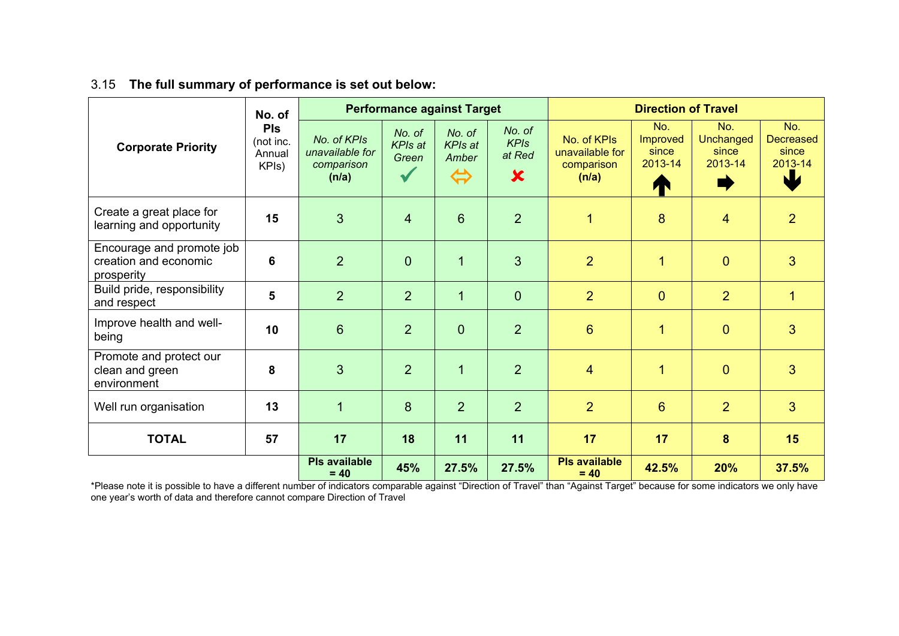## 3.15 **The full summary of performance is set out below:**

| <b>Corporate Priority</b>                                        | No. of<br><b>PIs</b><br>(not inc.<br>Annual<br>KPIs) | <b>Performance against Target</b>                     |                                   |                                                        | <b>Direction of Travel</b>                                   |                                                       |                                                 |                                            |                                                   |
|------------------------------------------------------------------|------------------------------------------------------|-------------------------------------------------------|-----------------------------------|--------------------------------------------------------|--------------------------------------------------------------|-------------------------------------------------------|-------------------------------------------------|--------------------------------------------|---------------------------------------------------|
|                                                                  |                                                      | No. of KPIs<br>unavailable for<br>comparison<br>(n/a) | No. of<br><b>KPIs at</b><br>Green | No. of<br><b>KPIs at</b><br>Amber<br>$\Leftrightarrow$ | No. of<br><b>KPIs</b><br>at Red<br>$\boldsymbol{\mathsf{x}}$ | No. of KPIs<br>unavailable for<br>comparison<br>(n/a) | No.<br><b>Improved</b><br>since<br>2013-14<br>T | No.<br>Unchanged<br>since<br>2013-14<br>Ξ, | No.<br><b>Decreased</b><br>since<br>2013-14<br>NZ |
| Create a great place for<br>learning and opportunity             | 15                                                   | 3                                                     | $\overline{4}$                    | $6\phantom{1}$                                         | $\overline{2}$                                               | $\mathbf{1}$                                          | 8                                               | $\overline{4}$                             | $\overline{2}$                                    |
| Encourage and promote job<br>creation and economic<br>prosperity | 6                                                    | $\overline{2}$                                        | $\mathbf 0$                       | $\mathbf{1}$                                           | 3                                                            | $\overline{2}$                                        | 1                                               | $\overline{0}$                             | 3                                                 |
| Build pride, responsibility<br>and respect                       | 5                                                    | $\overline{2}$                                        | 2                                 | $\overline{1}$                                         | $\overline{0}$                                               | $\overline{2}$                                        | $\overline{0}$                                  | $\overline{2}$                             | $\overline{1}$                                    |
| Improve health and well-<br>being                                | 10                                                   | $6\phantom{1}$                                        | 2                                 | $\overline{0}$                                         | $\overline{2}$                                               | $6\phantom{1}$                                        | 1                                               | $\overline{0}$                             | 3                                                 |
| Promote and protect our<br>clean and green<br>environment        | 8                                                    | 3                                                     | 2                                 | $\mathbf{1}$                                           | $\overline{2}$                                               | $\overline{4}$                                        | 1                                               | $\overline{0}$                             | 3                                                 |
| Well run organisation                                            | 13                                                   | 1                                                     | 8                                 | $\overline{2}$                                         | $\overline{2}$                                               | $\overline{2}$                                        | $6\phantom{1}$                                  | $\overline{2}$                             | 3                                                 |
| <b>TOTAL</b>                                                     | 57                                                   | 17                                                    | 18                                | 11                                                     | 11                                                           | 17                                                    | 17                                              | 8                                          | 15                                                |
|                                                                  |                                                      | <b>Pls available</b><br>$= 40$                        | 45%                               | 27.5%                                                  | 27.5%                                                        | <b>PIs available</b><br>$= 40$                        | 42.5%                                           | 20%                                        | 37.5%                                             |

\*Please note it is possible to have a different number of indicators comparable against "Direction of Travel" than "Against Target" because for some indicators we only have one year's worth of data and therefore cannot compare Direction of Travel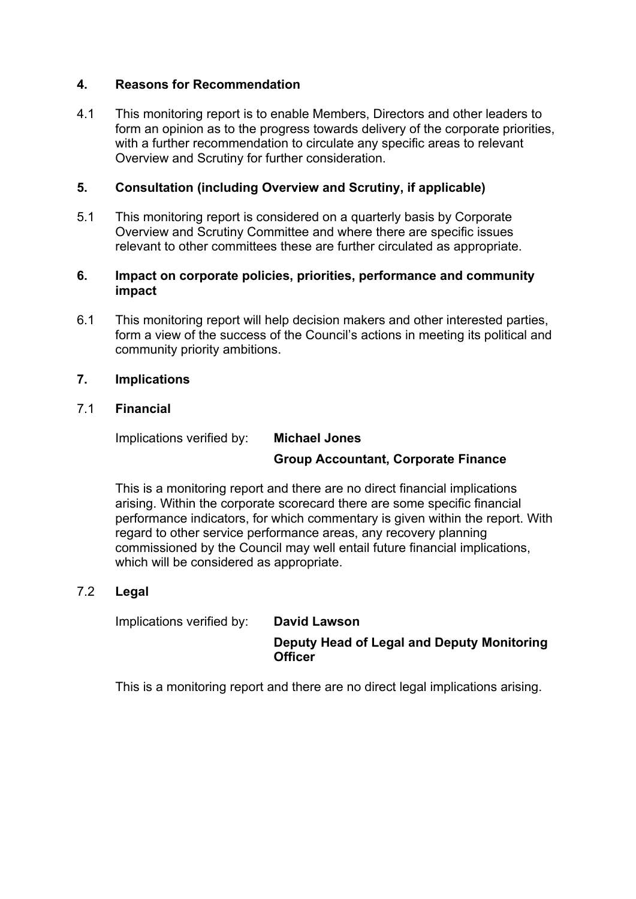## **4. Reasons for Recommendation**

4.1 This monitoring report is to enable Members, Directors and other leaders to form an opinion as to the progress towards delivery of the corporate priorities, with a further recommendation to circulate any specific areas to relevant Overview and Scrutiny for further consideration.

# **5. Consultation (including Overview and Scrutiny, if applicable)**

5.1 This monitoring report is considered on a quarterly basis by Corporate Overview and Scrutiny Committee and where there are specific issues relevant to other committees these are further circulated as appropriate.

#### **6. Impact on corporate policies, priorities, performance and community impact**

6.1 This monitoring report will help decision makers and other interested parties, form a view of the success of the Council's actions in meeting its political and community priority ambitions.

## **7. Implications**

#### 7.1 **Financial**

Implications verified by: **Michael Jones**

# **Group Accountant, Corporate Finance**

This is a monitoring report and there are no direct financial implications arising. Within the corporate scorecard there are some specific financial performance indicators, for which commentary is given within the report. With regard to other service performance areas, any recovery planning commissioned by the Council may well entail future financial implications, which will be considered as appropriate.

#### 7.2 **Legal**

Implications verified by: **David Lawson**

**Deputy Head of Legal and Deputy Monitoring Officer**

This is a monitoring report and there are no direct legal implications arising.